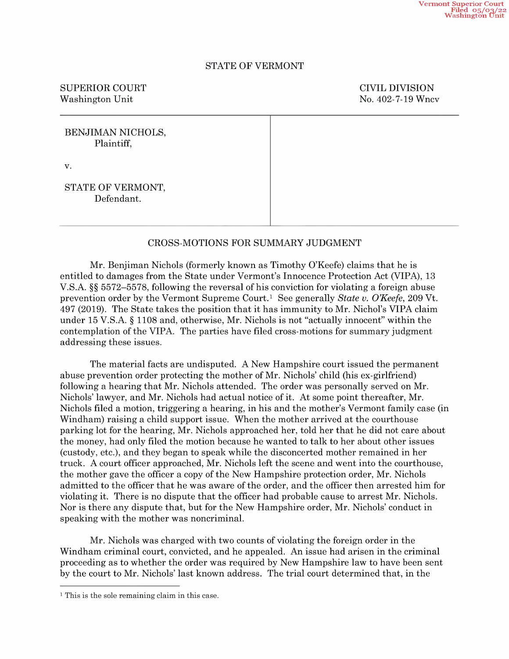## STATE OF VERMONT

# SUPERIOR COURT COURT COURT COURT Washington Unit No. 402-7-19 Wncv

| BENJIMAN NICHOLS,<br>Plaintiff, |  |
|---------------------------------|--|
| V.                              |  |
| STATE OF VERMONT,<br>Defendant. |  |

# CROSS-MOTIONS FOR SUMMARY JUDGMENT

Mr. Benjiman Nichols (formerly known as Timothy O'Keefe) claims that he is<br>entitled to damages from the State under Vermont's Innocence Protection Act (VIPA), 13<br>V.S.A. §§ 5572–5578, following the reversal of his convictio prevention order by the Vermont Supreme Court.<sup>1</sup> See generally State v. O'Keefe, 209 Vt. 497 (2019). The State takes the position that it has immunity to Mr. Nichol's VIPA claim under 15 V.S.A.  $\S$  1108 and, otherwise, Mr. Nichols is not "actually innocent" within the contemplation of the VIPA. The parties have filed cross-motions for summary judgment addressing these issues.

The material facts are undisputed. New Hampshire court issued the permanent abuse prevention order protecting the mother of Mr. Nichols' child (his ex-girlfriend) following a hearing that Mr. Nichols attended. The order was personally served on Mr. Nichols' lawyer, and Mr. Nichols had actual notice of it. At some point thereafter, Mr. Nichols filed a motion, triggering a hearing, in his and the mother's Vermont family case (in Windham) raising a child support issue. When the mother arrived at the courthouse parking lot for the hearing, Mr. Nichols approached her, told her that he did not care about the money, had only filed the motion because he wanted to talk to her about other issues (custody, etc), and they began to speak while the disconcerted mother remained in her truck. A court officer approached, Mr. Nichols left the scene and went into the courthouse, the mother gave the officer a copy of the New Hampshire protection order, Mr. Nichols admitted to the officer that he was aware of the order, and the officer then arrested him for violating it. There is no dispute that the officer had probable cause to arrest Mr. Nichols. Nor is there any dispute that, but for the New Hampshire order, Mr. Nichols' conduct in speaking with the mother was noncriminal.

Mr. Nichols was charged With tW0 counts of violating the foreign order in the Windham criminal court, convicted, and he appealed. An issue had arisen in the criminal proceeding as to whether the order was required by New Hampshire law to have been sent by the court to Mr. Nichols' last known address. The trial court determined that, in the

<sup>&</sup>lt;sup>1</sup> This is the sole remaining claim in this case.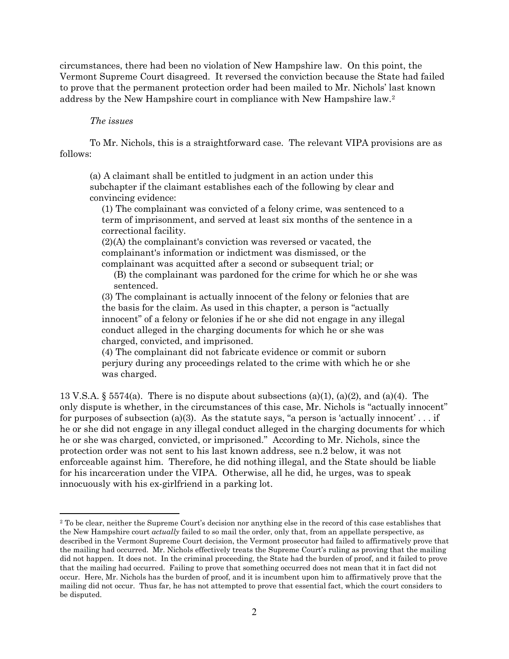circumstances, there had been no violation of New Hampshire law. On this point, the Vermont Supreme Court disagreed. It reversed the conviction because the State had failed to prove that the permanent protection order had been mailed to Mr. Nichols' last known address by the New Hampshire court in compliance with New Hampshire law[.2](#page-1-0)

## *The issues*

To Mr. Nichols, this is a straightforward case. The relevant VIPA provisions are as follows:

(a) A claimant shall be entitled to judgment in an action under this subchapter if the claimant establishes each of the following by clear and convincing evidence:

(1) The complainant was convicted of a felony crime, was sentenced to a term of imprisonment, and served at least six months of the sentence in a correctional facility.

(2)(A) the complainant's conviction was reversed or vacated, the complainant's information or indictment was dismissed, or the complainant was acquitted after a second or subsequent trial; or

(B) the complainant was pardoned for the crime for which he or she was sentenced.

(3) The complainant is actually innocent of the felony or felonies that are the basis for the claim. As used in this chapter, a person is "actually innocent" of a felony or felonies if he or she did not engage in any illegal conduct alleged in the charging documents for which he or she was charged, convicted, and imprisoned.

(4) The complainant did not fabricate evidence or commit or suborn perjury during any proceedings related to the crime with which he or she was charged.

13 V.S.A. § 5574(a). There is no dispute about subsections (a)(1), (a)(2), and (a)(4). The only dispute is whether, in the circumstances of this case, Mr. Nichols is "actually innocent" for purposes of subsection (a)(3). As the statute says, "a person is 'actually innocent' . . . if he or she did not engage in any illegal conduct alleged in the charging documents for which he or she was charged, convicted, or imprisoned." According to Mr. Nichols, since the protection order was not sent to his last known address, see n.2 below, it was not enforceable against him. Therefore, he did nothing illegal, and the State should be liable for his incarceration under the VIPA. Otherwise, all he did, he urges, was to speak innocuously with his ex-girlfriend in a parking lot.

<span id="page-1-0"></span><sup>&</sup>lt;sup>2</sup> To be clear, neither the Supreme Court's decision nor anything else in the record of this case establishes that the New Hampshire court *actually* failed to so mail the order, only that, from an appellate perspective, as described in the Vermont Supreme Court decision, the Vermont prosecutor had failed to affirmatively prove that the mailing had occurred. Mr. Nichols effectively treats the Supreme Court's ruling as proving that the mailing did not happen. It does not. In the criminal proceeding, the State had the burden of proof, and it failed to prove that the mailing had occurred. Failing to prove that something occurred does not mean that it in fact did not occur. Here, Mr. Nichols has the burden of proof, and it is incumbent upon him to affirmatively prove that the mailing did not occur. Thus far, he has not attempted to prove that essential fact, which the court considers to be disputed.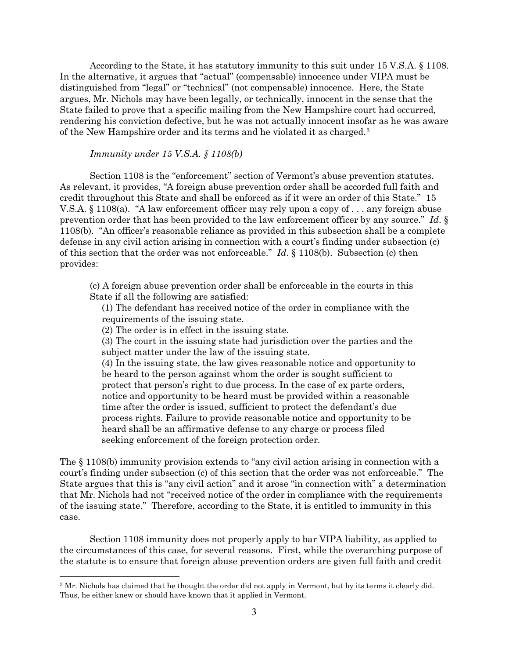According to the State, it has statutory immunity to this suit under 15 V.S.A. § 1108. In the alternative, it argues that "actual" (compensable) innocence under VIPA must be distinguished from "legal" or "technical" (not compensable) innocence. Here, the State argues, Mr. Nichols may have been legally, or technically, innocent in the sense that the State failed to prove that a specific mailing from the New Hampshire court had occurred, rendering his conviction defective, but he was not actually innocent insofar as he was aware of the New Hampshire order and its terms and he violated it as charged.[3](#page-2-0)

#### *Immunity under 15 V.S.A. § 1108(b)*

Section 1108 is the "enforcement" section of Vermont's abuse prevention statutes. As relevant, it provides, "A foreign abuse prevention order shall be accorded full faith and credit throughout this State and shall be enforced as if it were an order of this State." 15 V.S.A. § 1108(a). "A law enforcement officer may rely upon a copy of . . . any foreign abuse prevention order that has been provided to the law enforcement officer by any source." *Id*. § 1108(b). "An officer's reasonable reliance as provided in this subsection shall be a complete defense in any civil action arising in connection with a court's finding under subsection (c) of this section that the order was not enforceable." *Id*. § 1108(b). Subsection (c) then provides:

(c) A foreign abuse prevention order shall be enforceable in the courts in this State if all the following are satisfied:

(1) The defendant has received notice of the order in compliance with the requirements of the issuing state.

(2) The order is in effect in the issuing state.

(3) The court in the issuing state had jurisdiction over the parties and the subject matter under the law of the issuing state.

(4) In the issuing state, the law gives reasonable notice and opportunity to be heard to the person against whom the order is sought sufficient to protect that person's right to due process. In the case of ex parte orders, notice and opportunity to be heard must be provided within a reasonable time after the order is issued, sufficient to protect the defendant's due process rights. Failure to provide reasonable notice and opportunity to be heard shall be an affirmative defense to any charge or process filed seeking enforcement of the foreign protection order.

The § 1108(b) immunity provision extends to "any civil action arising in connection with a court's finding under subsection (c) of this section that the order was not enforceable." The State argues that this is "any civil action" and it arose "in connection with" a determination that Mr. Nichols had not "received notice of the order in compliance with the requirements of the issuing state." Therefore, according to the State, it is entitled to immunity in this case.

Section 1108 immunity does not properly apply to bar VIPA liability, as applied to the circumstances of this case, for several reasons. First, while the overarching purpose of the statute is to ensure that foreign abuse prevention orders are given full faith and credit

<span id="page-2-0"></span><sup>3</sup> Mr. Nichols has claimed that he thought the order did not apply in Vermont, but by its terms it clearly did. Thus, he either knew or should have known that it applied in Vermont.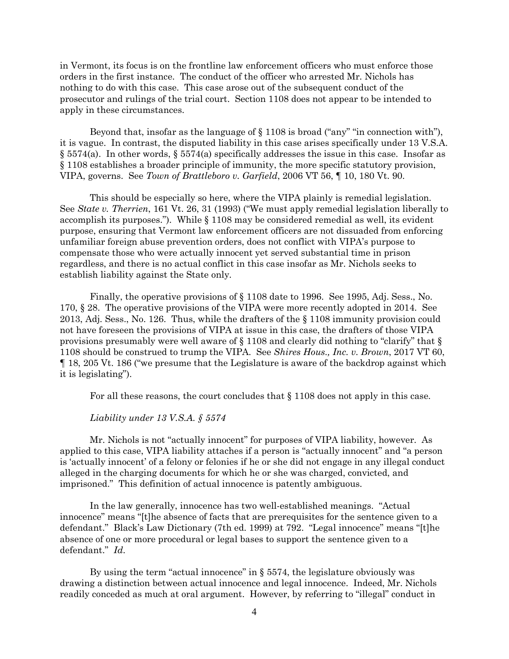in Vermont, its focus is on the frontline law enforcement officers who must enforce those orders in the first instance. The conduct of the officer who arrested Mr. Nichols has nothing to do with this case. This case arose out of the subsequent conduct of the prosecutor and rulings of the trial court. Section 1108 does not appear to be intended to apply in these circumstances.

Beyond that, insofar as the language of  $\S 1108$  is broad ("any" "in connection with"), it is vague. In contrast, the disputed liability in this case arises specifically under 13 V.S.A.  $\S$  5574(a). In other words,  $\S$  5574(a) specifically addresses the issue in this case. Insofar as § 1108 establishes a broader principle of immunity, the more specific statutory provision, VIPA, governs. See *Town of Brattleboro v. Garfield*, 2006 VT 56, ¶ 10, 180 Vt. 90.

This should be especially so here, where the VIPA plainly is remedial legislation. See *State v. Therrien*, 161 Vt. 26, 31 (1993) ("We must apply remedial legislation liberally to accomplish its purposes."). While § 1108 may be considered remedial as well, its evident purpose, ensuring that Vermont law enforcement officers are not dissuaded from enforcing unfamiliar foreign abuse prevention orders, does not conflict with VIPA's purpose to compensate those who were actually innocent yet served substantial time in prison regardless, and there is no actual conflict in this case insofar as Mr. Nichols seeks to establish liability against the State only.

Finally, the operative provisions of § 1108 date to 1996. See 1995, Adj. Sess., No. 170, § 28. The operative provisions of the VIPA were more recently adopted in 2014. See 2013, Adj. Sess., No. 126. Thus, while the drafters of the § 1108 immunity provision could not have foreseen the provisions of VIPA at issue in this case, the drafters of those VIPA provisions presumably were well aware of § 1108 and clearly did nothing to "clarify" that § 1108 should be construed to trump the VIPA. See *Shires Hous., Inc. v. Brown*, 2017 VT 60, ¶ 18, 205 Vt. 186 ("we presume that the Legislature is aware of the backdrop against which it is legislating").

For all these reasons, the court concludes that § 1108 does not apply in this case.

## *Liability under 13 V.S.A. § 5574*

Mr. Nichols is not "actually innocent" for purposes of VIPA liability, however. As applied to this case, VIPA liability attaches if a person is "actually innocent" and "a person is 'actually innocent' of a felony or felonies if he or she did not engage in any illegal conduct alleged in the charging documents for which he or she was charged, convicted, and imprisoned." This definition of actual innocence is patently ambiguous.

In the law generally, innocence has two well-established meanings. "Actual innocence" means "[t]he absence of facts that are prerequisites for the sentence given to a defendant." Black's Law Dictionary (7th ed. 1999) at 792. "Legal innocence" means "[t]he absence of one or more procedural or legal bases to support the sentence given to a defendant." *Id*.

By using the term "actual innocence" in  $\S$  5574, the legislature obviously was drawing a distinction between actual innocence and legal innocence. Indeed, Mr. Nichols readily conceded as much at oral argument. However, by referring to "illegal" conduct in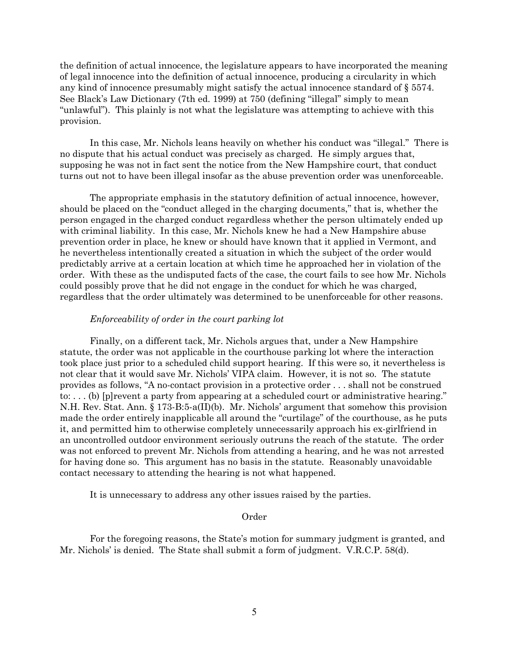the definition of actual innocence, the legislature appears to have incorporated the meaning of legal innocence into the definition of actual innocence, producing a circularity in which any kind of innocence presumably might satisfy the actual innocence standard of § 5574. See Black's Law Dictionary (7th ed. 1999) at 750 (defining "illegal" simply to mean "unlawful"). This plainly is not what the legislature was attempting to achieve with this provision.

In this case, Mr. Nichols leans heavily on whether his conduct was "illegal." There is no dispute that his actual conduct was precisely as charged. He simply argues that, supposing he was not in fact sent the notice from the New Hampshire court, that conduct turns out not to have been illegal insofar as the abuse prevention order was unenforceable.

The appropriate emphasis in the statutory definition of actual innocence, however, should be placed on the "conduct alleged in the charging documents," that is, whether the person engaged in the charged conduct regardless whether the person ultimately ended up with criminal liability. In this case, Mr. Nichols knew he had a New Hampshire abuse prevention order in place, he knew or should have known that it applied in Vermont, and he nevertheless intentionally created a situation in which the subject of the order would predictably arrive at a certain location at which time he approached her in violation of the order. With these as the undisputed facts of the case, the court fails to see how Mr. Nichols could possibly prove that he did not engage in the conduct for which he was charged, regardless that the order ultimately was determined to be unenforceable for other reasons.

#### *Enforceability of order in the court parking lot*

Finally, on a different tack, Mr. Nichols argues that, under a New Hampshire statute, the order was not applicable in the courthouse parking lot where the interaction took place just prior to a scheduled child support hearing. If this were so, it nevertheless is not clear that it would save Mr. Nichols' VIPA claim. However, it is not so. The statute provides as follows, "A no-contact provision in a protective order . . . shall not be construed to: . . . (b) [p]revent a party from appearing at a scheduled court or administrative hearing." N.H. Rev. Stat. Ann. § 173-B:5-a(II)(b). Mr. Nichols' argument that somehow this provision made the order entirely inapplicable all around the "curtilage" of the courthouse, as he puts it, and permitted him to otherwise completely unnecessarily approach his ex-girlfriend in an uncontrolled outdoor environment seriously outruns the reach of the statute. The order was not enforced to prevent Mr. Nichols from attending a hearing, and he was not arrested for having done so. This argument has no basis in the statute. Reasonably unavoidable contact necessary to attending the hearing is not what happened.

It is unnecessary to address any other issues raised by the parties.

#### Order

For the foregoing reasons, the State's motion for summary judgment is granted, and Mr. Nichols' is denied. The State shall submit a form of judgment. V.R.C.P. 58(d).